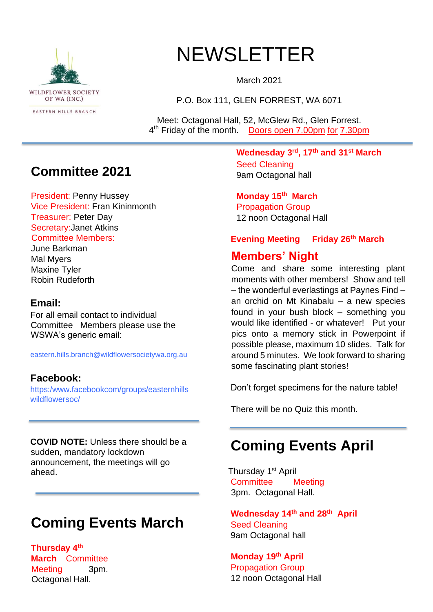

# NEWSLETTER

March 2021

P.O. Box 111, GLEN FORREST, WA 6071

Meet: Octagonal Hall, 52, McGlew Rd., Glen Forrest. 4<sup>th</sup> Friday of the month. Doors open 7.00pm for 7.30pm

### **Committee 2021**

President: Penny Hussey Vice President: Fran Kininmonth Treasurer: Peter Day Secretary:Janet Atkins Committee Members:

#### June Barkman

Mal Myers Maxine Tyler Robin Rudeforth

### **Email:**

For all email contact to individual Committee Members please use the WSWA's generic email:

eastern.hills.branch@wildflowersocietywa.org.au

### **Facebook:**

https:/www.facebookcom/groups/easternhills wildflowersoc/

**COVID NOTE:** Unless there should be a sudden, mandatory lockdown announcement, the meetings will go ahead.

# **Coming Events March**

**Thursday 4th March** Committee Meeting 3pm. Octagonal Hall.

**Wednesday 3rd, 17th and 31st March**  Seed Cleaning 9am Octagonal hall

**Monday 15th March**  Propagation Group 12 noon Octagonal Hall

### **Evening Meeting Friday 26th March**

### **Members' Night**

Come and share some interesting plant moments with other members! Show and tell – the wonderful everlastings at Paynes Find – an orchid on Mt Kinabalu – a new species found in your bush block – something you would like identified - or whatever! Put your pics onto a memory stick in Powerpoint if possible please, maximum 10 slides. Talk for around 5 minutes. We look forward to sharing some fascinating plant stories!

Don't forget specimens for the nature table!

There will be no Quiz this month.

## **Coming Events April**

Thursday 1st April Committee Meeting 3pm. Octagonal Hall.

**Wednesday 14th and 28th April**  Seed Cleaning 9am Octagonal hall

**Monday 19th April**  Propagation Group 12 noon Octagonal Hall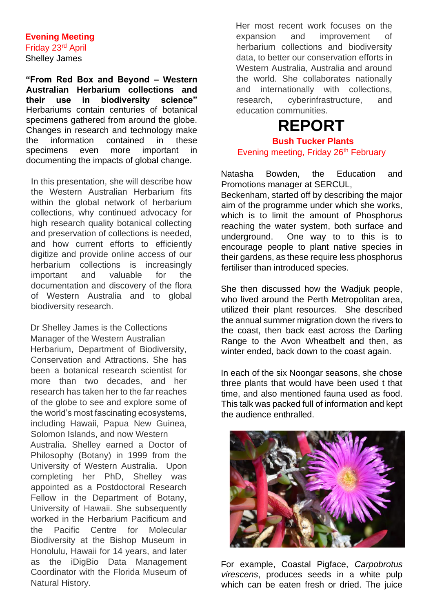### **Evening Meeting**

Friday 23rd April Shelley James

**"From Red Box and Beyond – Western Australian Herbarium collections and their use in biodiversity science"**  Herbariums contain centuries of botanical specimens gathered from around the globe. Changes in research and technology make the information contained in these specimens even more important in documenting the impacts of global change.

In this presentation, she will describe how the Western Australian Herbarium fits within the global network of herbarium collections, why continued advocacy for high research quality botanical collecting and preservation of collections is needed, and how current efforts to efficiently digitize and provide online access of our herbarium collections is increasingly important and valuable for the documentation and discovery of the flora of Western Australia and to global biodiversity research.

Dr Shelley James is the Collections Manager of the Western Australian Herbarium, Department of Biodiversity, Conservation and Attractions. She has been a botanical research scientist for more than two decades, and her research has taken her to the far reaches of the globe to see and explore some of the world's most fascinating ecosystems, including Hawaii, Papua New Guinea, Solomon Islands, and now Western Australia. Shelley earned a Doctor of Philosophy (Botany) in 1999 from the University of Western Australia. Upon completing her PhD, Shelley was appointed as a Postdoctoral Research Fellow in the Department of Botany, University of Hawaii. She subsequently worked in the Herbarium Pacificum and the Pacific Centre for Molecular Biodiversity at the Bishop Museum in Honolulu, Hawaii for 14 years, and later as the iDigBio Data Management Coordinator with the Florida Museum of Natural History.

Her most recent work focuses on the expansion and improvement of herbarium collections and biodiversity data, to better our conservation efforts in Western Australia, Australia and around the world. She collaborates nationally and internationally with collections, research, cyberinfrastructure, and education communities.

# **REPORT**

**Bush Tucker Plants** Evening meeting, Friday 26<sup>th</sup> February

Natasha Bowden, the Education and Promotions manager at SERCUL,

Beckenham, started off by describing the major aim of the programme under which she works, which is to limit the amount of Phosphorus reaching the water system, both surface and underground. One way to to this is to encourage people to plant native species in their gardens, as these require less phosphorus fertiliser than introduced species.

She then discussed how the Wadjuk people, who lived around the Perth Metropolitan area. utilized their plant resources. She described the annual summer migration down the rivers to the coast, then back east across the Darling Range to the Avon Wheatbelt and then, as winter ended, back down to the coast again.

In each of the six Noongar seasons, she chose three plants that would have been used t that time, and also mentioned fauna used as food. This talk was packed full of information and kept the audience enthralled.



For example, Coastal Pigface, *Carpobrotus virescens*, produces seeds in a white pulp which can be eaten fresh or dried. The juice